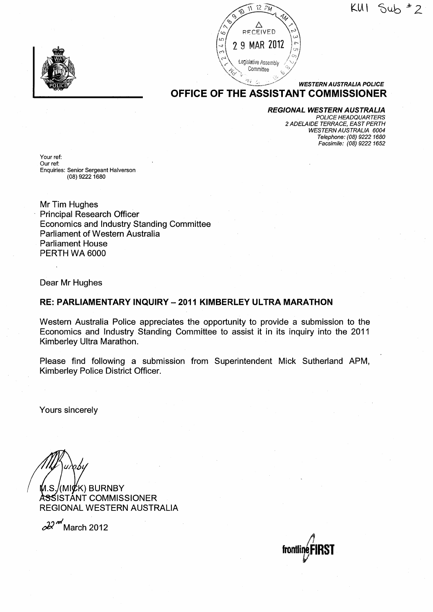~·12 ?M -<l l(l;\ \ ~u\_b *s* 2





# OFFICE OF THE ASSISTANT COMMISSIONER

#### REGIONAL WESTERN AUSTRALIA

POLICE HEADQUARTERS 2 ADELAIDE TERRACE, EAST PERTH WESTERN AUSTRALIA 6004 Telephone: (08) 9222 1680 Facsimile: (08) 9222 1652

Your ref: Our ref: Enquiries: Senior Sergeant Halverson (08) 9222 1680

Mr Tim Hughes Principal Research Officer Economics and Industry Standing Committee Parliament of Western Australia Parliament House PERTH WA 6000

Dear Mr Hughes

#### RE: PARLIAMENTARY INQUIRY- 2011 KIMBERLEY ULTRA MARATHON

Western Australia Police appreciates the opportunity to provide a submission to the Economics and Industry Standing Committee to assist it in its inquiry into the 2011 Kimberley Ultra Marathon.

Please find following a submission from Superintendent Mick Sutherland APM, Kimberley Police District Officer.

Yours sincerely

(MI $\not\!\!\!E$ K) BURNBY A<del>S</del>SISTANT COMMISSIONER REGIONAL WESTERN AUSTRALIA

*cJJ* HI March 2012

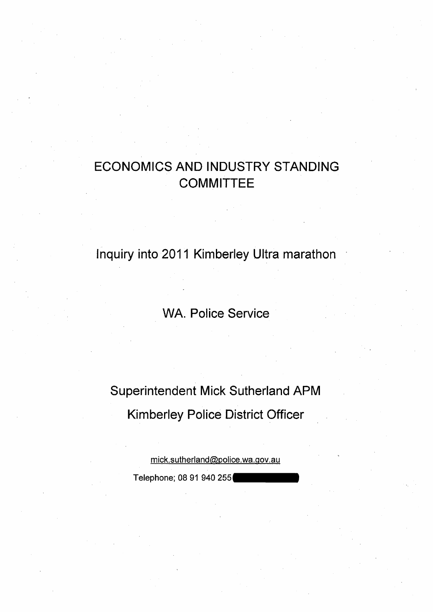# ECONOMICS AND INDUSTRY STANDING **COMMITTEE**

Inquiry into 2011 Kimberley Ultra marathon

**WA. Police Service** 

Superintendent Mick Sutherland APM Kimberley Police District Officer

> mick.sutherland@police.wa.gov.au Telephone; 08 91 940 255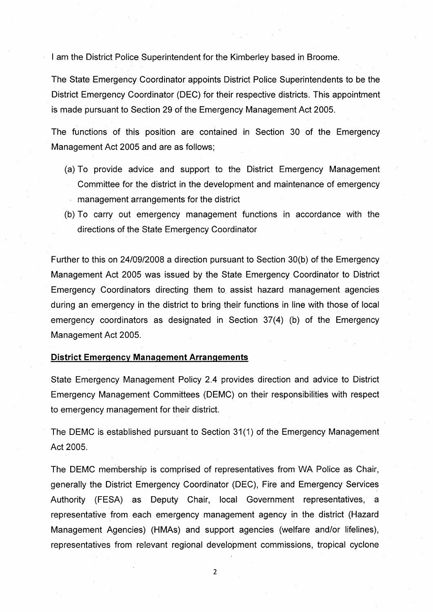I am the District Police Superintendent for the Kimberley based in Broome.

The State Emergency Coordinator appoints District Police Superintendents to be the District Emergency Coordinator (DEC) for their respective districts. This appointment is made pursuant to Section 29 of the Emergency Management Act 2005.

The functions of this position are contained in Section 30 of the Emergency Management Act 2005 and are as follows;

- (a) To provide advice and support to the District Emergency Management Committee for the district in the development and maintenance of emergency management arrangements for the district
- (b) To carry out emergency management functions in accordance with the directions of the State Emergency Coordinator

Further to this on 24/09/2008 a direction pursuant to Section 30(b) of the Emergency Management Act 2005 was issued by the State Emergency Coordinator to District Emergency Coordinators directing them to. assist hazard management agencies during an emergency in the district to bring their functions in line with those of local emergency coordinators as designated in Section 37(4) (b) of the Emergency Management Act 2005.

#### **District Emergency Management Arrangements**

State Emergency Management Policy 2.4 provides direction and advice to District Emergency Management Committees (DEMC) on their responsibilities with respect to emergency management for their district.

The DEMC is established pursuant to Section 31(1) of the Emergency Management Act 2005.

The DEMC membership is comprised of representatives from WA Police as Chair, generally the District Emergency Coordinator (DEC), Fire and Emergency Services Authority (FESA) as Deputy Chair, local Government representatives, a representative from each emergency management agency in the district (Hazard Management Agencies) (HMAs) and support agencies (welfare and/or lifelines), representatives from relevant regional development commissions, tropical cyclone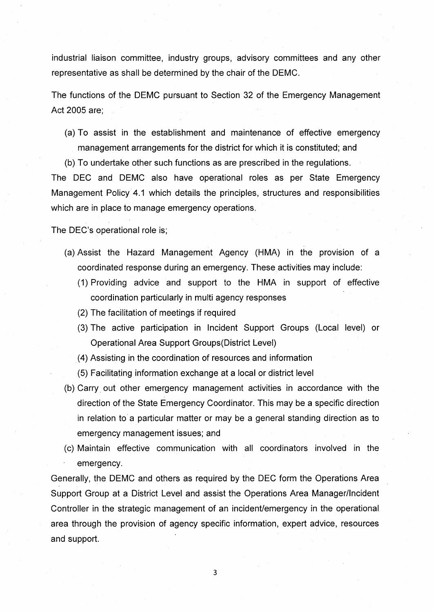industrial liaison committee, industry groups, advisory committees and any other representative as shall be determined by the chair of the DEMC.

The functions of the DEMC pursuant to Section 32 of the Emergency Management Act 2005 are;

(a) To assist in the establishment and maintenance of effective emergency management arrangements for the district for which it is constituted; and

(b) To undertake other such functions as are prescribed in the regulations.

The DEC and DEMC also have operational roles as per State Emergency Management Policy 4.1 which details the principles, structures and responsibilities which are in place to manage emergency operations.

The DEC's operational role is;

- (a) Assist the Hazard Management Agency (HMA) in the provision of a coordinated response during an emergency. These activities may include:
	- (1) Providing advice and support to the HMA in support of effective coordination particularly in multi agency responses
	- (2) The facilitation of meetings if required
	- (3) The active participation in Incident Support Groups (Local level) or Operational Area Support Groups(District Level)
	- . (4) Assisting in the coordination of resources and information
	- (5) Facilitating information exchange at a local or district level
- (b) Carry. out other emergency management activities in accordance with the direction of the State Emergency Coordinator. This may be a specific direction in relation to a particular matter or may be a general standing direction as to emergency management issues; and
- (c) Maintain effective communication with all coordinators involved in the emergency.

Generally, the DEMC and others as required by the DEC form the Operations Area Support Group at a District Level and assist the Operations Area Manager/Incident Controller in the strategic management of an incident/emergency in the operational area through the provision of agency specific information, expert advice, resources and support.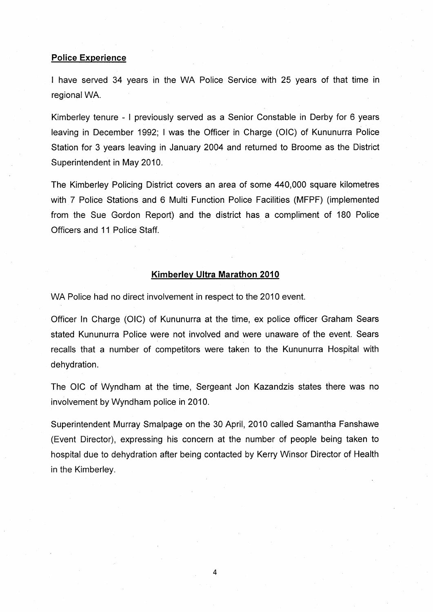#### Police Experience

I have served 34 years in the WA Police Service with 25 years of that time in regional WA.

Kimberley tenure - I previously served as a Senior Constable in Derby for 6 years leaving in December 1992; I was the Officer in Charge (OIC) of Kununurra Police Station for 3 years leaving in January 2004 and returned to Broome as the District Superintendent in May 2010.

The Kimberley Policing District covers an area of some 440,000 square kilometres with 7 Police Stations and 6 Multi Function Police Facilities (MFPF) (implemented from the Sue Gordon Report) and the district has a compliment of 180 Police Officers and 11 Police Staff.

# Kimberley Ultra Marathon 2010

WA Police had no direct involvement in respect to the 2010 event.

Officer In Charge (OIC) of Kununurra at the time, ex police officer Graham Sears stated Kununurra Police were not involved and were unaware of the event. Sears recalls that a number of competitors were taken to the Kununurra Hospital with dehydration.

The OIC of Wyndham at the time, Sergeant Jon Kazandzis states there was no involvement by Wyndham police in 2010.

Superintendent Murray Smalpage on the 30 April, 2010 called Samantha Fanshawe (Event Director), expressing his concern at the number of people being taken to hospital due to dehydration after being contacted by Kerry Winsor Director of Health in the Kimberley.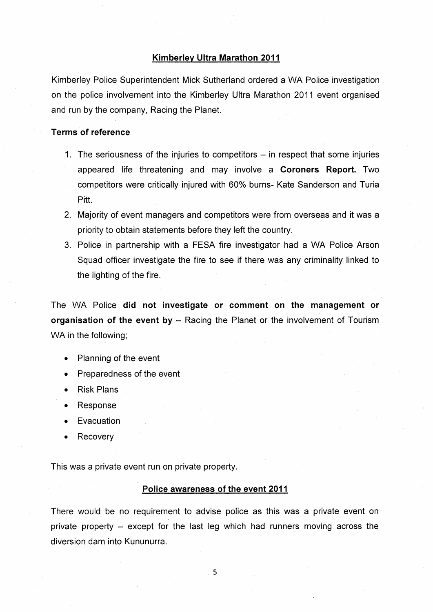#### **Kimberley Ultra Marathon 2011**

Kimberley Police Superintendent Mick Sutherland ordered a WA Police investigation on the police involvement into the Kimberley Ultra Marathon 2011 event organised and run by the company, Racing the Planet.

#### **Terms of reference**

- 1. The seriousness of the injuries to competitors in respect that some injuries appeared life threatening and may involve **a Coroners Report.** Two competitors were critically injured with 60% burns- Kate Sanderson and Turia Pitt.
- 2. Majority of event managers and competitors were from overseas and it was a priority to obtain statements before they left the country.
- 3. Police in partnership with a FESA fire investigator had a WA Police Arson Squad officer investigate the fire to see if there was any criminality linked to the lighting of the fire.

The WA Police **did not investigate or comment on the management or organisation of the event by** - Racing the Planet or the involvement of Tourism WA in the following;

- Planning of the event
- Preparedness of the event
- Risk Plans
- Response
- **Evacuation**
- Recovery

This was a private event run on private property.

# **Police awareness of the event 2011**

There would be no requirement to advise police as this was a private event on private property - except for the last leg which had runners moving across the diversion dam into Kununurra.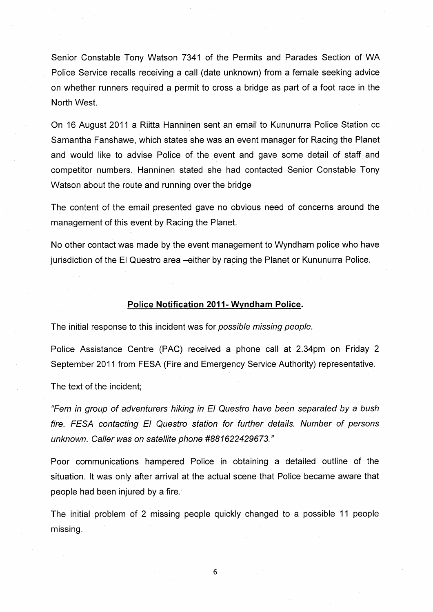Senior Constable Tony Watson 7341 of the Permits and Parades Section of'WA Police Service recalls receiving a call (date unknown) from a female seeking advice on whether runners required a permit to cross a bridge as part of a foot race in the North West.

On 16 August 2011 a Riitta Hanninen sent an email to Kununurra Police Station cc Samantha Fanshawe, which states she was an event manager for Racing the Planet and would like to advise Police of the event and gave some detail of staff and competitor numbers. Hanninen stated she had contacted Senior Constable Tony Watson about the route and running over the bridge

The content of the email presented gave no obvious need of concerns around the management of this event by Racing the Planet

No other contact was made by the event management to Wyndham police who have jurisdiction of the El Questro area -either by racing the Planet or Kununurra Police.

# **Police Notification 2011- Wyndham Police.**

The initial response to this incident was for possible missing people.

Police Assistance Centre (PAC) received a phone call at 2.34pm on Friday 2 September 2011 from FESA (Fire and Emergency Service Authority) representative.

The text of the incident;

{{Fern in group of adventurers hiking in El Questro have been separated by a bush fire. FESA contacting El Questro station for further details. Number of persons unknown. Caller was on satellite phone #881622429673."

Poor communications hampered Police in obtaining a detailed outline of the situation. It was only after arrival at the actual scene that Police became aware that people had been injured by a fire.

The initial problem of 2 missing people quickly changed to a possible 11 people missing.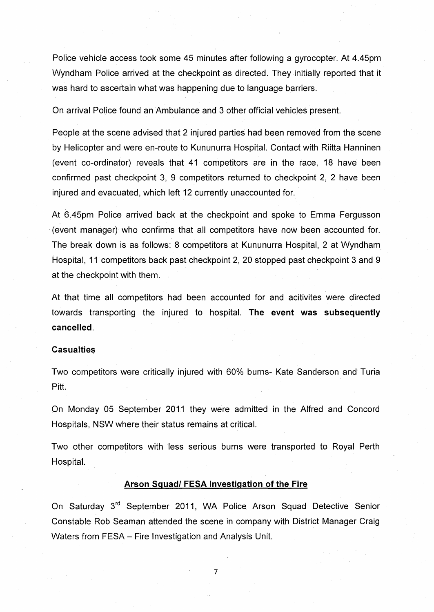Police vehicle access took some 45 minutes after following a gyrocopter. At 4.45pm Wyndham Police arrived at the checkpoint as directed. They initially reported that it was hard to ascertain what was happening due to language barriers.

On arrival Police found an Ambulance and 3 other official vehicles present.

People at the scene advised that 2 injured parties had been removed from the scene by Helicopter and were en-route to Kununurra Hospital. Contact with Riitta Hanninen (event co-ordinator) reveals that 41 competitors are in the race, 18 have been confirmed past checkpoint 3, 9 competitors returned to checkpoint 2, 2 have been injured and evacuated, which left 12 currently unaccounted for.

At 6.45pm Police arrived back at the checkpoint and spoke to Emma Fergusson (event manager) who confirms that all competitors have now been accounted for. The break down is as follows: 8 competitors at Kununurra Hospital, 2 at Wyndham Hospital, 11 competitors back past checkpoint 2, 20 stopped past checkpoint 3 and 9 at the checkpoint with them.

At that time all competitors had been accounted for and acitivites were directed towards transporting the injured to hospital. **The event was subsequently cancelled.** 

# **Casualties**

Two competitors were critically injured with 60% burns- Kate Sanderson and Turia Pitt.

On Monday 05 September 2011 they were admitted in the Alfred and Concord Hospitals, NSW where their status remains at critical.

Two other competitors with less serious burns were transported to Royal Perth Hospital.

# **Arson Squad/ FESA Investigation of the Fire**

On Saturday 3<sup>rd</sup> September 2011, WA Police Arson Squad Detective Senior Constable Rob Seaman attended the scene in company with District Manager Craig Waters from FESA- Fire Investigation and Analysis Unit.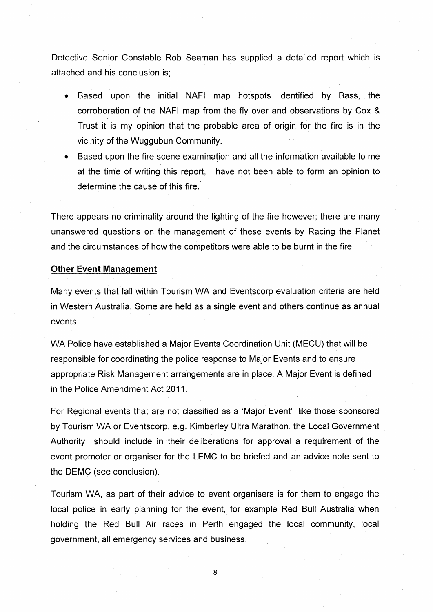Detective Senior Constable Rob Seaman has supplied a detailed report which is attached and his conclusion is;

- Based upon the initial NAFI map hotspots identified by Bass, the corroboration of the NAFI map from the fly over and observations by Cox & Trust it is my opinion that the probable area of origin for the fire is in the vicinity of the Wuggubun Community.
- **Based upon the fire scene examination and all the information available to me** at the time of writing this report, I have not been able to form an opinion to determine the cause of this fire.

There appears no criminality around the lighting of the fire however; there are many unanswered questions on the management of these events by Racing the Planet and the circumstances of how the competitors were able to be burnt in the fire.

#### **Other Event Management**

Many events that fall within Tourism WA and Eventscorp evaluation criteria are held in Western Australia. Some are held as a single event and others continue as annual events.

WA Police have established a Major Events Coordination Unit (MECU) that will be responsible for coordinating the police response to Major Events and to ensure appropriate Risk Management arrangements are in place. A Major Event is defined in the Police Amendment Act 2011.

For Regional events that are not classified as a 'Major Event' like those sponsored by Tourism WA or Eventscorp, e.g. Kimberley Ultra Marathon, the Local Government Authority should include in their deliberations for approval a requirement of the event promoter or organiser for the LEMC to be briefed and an advice note sent to the DEMC (see conclusion).

Tourism WA, as part of their advice to event organisers is for them to engage the local police in early planning for the event, for example Red Bull Australia when holding the Red Bull Air races in Perth engaged the local community, local government, all emergency services and business.